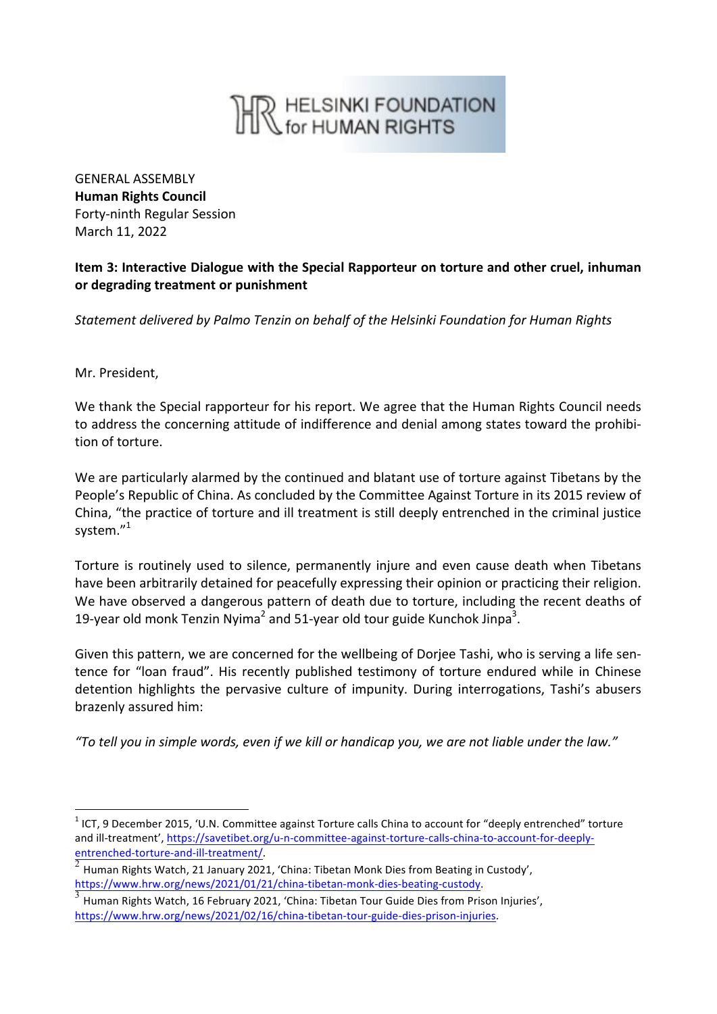

GENERAL ASSEMBLY **Human Rights Council** Forty-ninth Regular Session March 11, 2022

## **Item 3: Interactive Dialogue with the Special Rapporteur on torture and other cruel, inhuman or degrading treatment or punishment**

*Statement delivered by Palmo Tenzin on behalf of the Helsinki Foundation for Human Rights*

Mr. President,

We thank the Special rapporteur for his report. We agree that the Human Rights Council needs to address the concerning attitude of indifference and denial among states toward the prohibition of torture.

We are particularly alarmed by the continued and blatant use of torture against Tibetans by the People's Republic of China. As concluded by the Committee Against Torture in its 2015 review of China, "the practice of torture and ill treatment is still deeply entrenched in the criminal justice system."<sup>1</sup>

Torture is routinely used to silence, permanently injure and even cause death when Tibetans have been arbitrarily detained for peacefully expressing their opinion or practicing their religion. We have observed a dangerous pattern of death due to torture, including the recent deaths of 19-year old monk Tenzin Nyima<sup>2</sup> and 51-year old tour guide Kunchok Jinpa<sup>3</sup>.

Given this pattern, we are concerned for the wellbeing of Dorjee Tashi, who is serving a life sentence for "loan fraud". His recently published testimony of torture endured while in Chinese detention highlights the pervasive culture of impunity. During interrogations, Tashi's abusers brazenly assured him:

"To tell you in simple words, even if we kill or handicap you, we are not liable under the law."

 $1$  ICT, 9 December 2015, 'U.N. Committee against Torture calls China to account for "deeply entrenched" torture and ill-treatment', https://savetibet.org/u-n-committee-against-torture-calls-china-to-account-for-deeplyentrenched-torture-and-ill-treatment/.<br> $\frac{2}{\pi}$  Human Rights Watch, 21 January 2021, 'China: Tibetan Monk Dies from Beating in Custody',

https://www.hrw.org/news/2021/01/21/china-tibetan-monk-dies-beating-custody.<br><sup>3</sup> Human Rights Watch, 16 February 2021, 'China: Tibetan Tour Guide Dies from Prison Injuries', https://www.hrw.org/news/2021/02/16/china-tibetan-tour-guide-dies-prison-injuries.